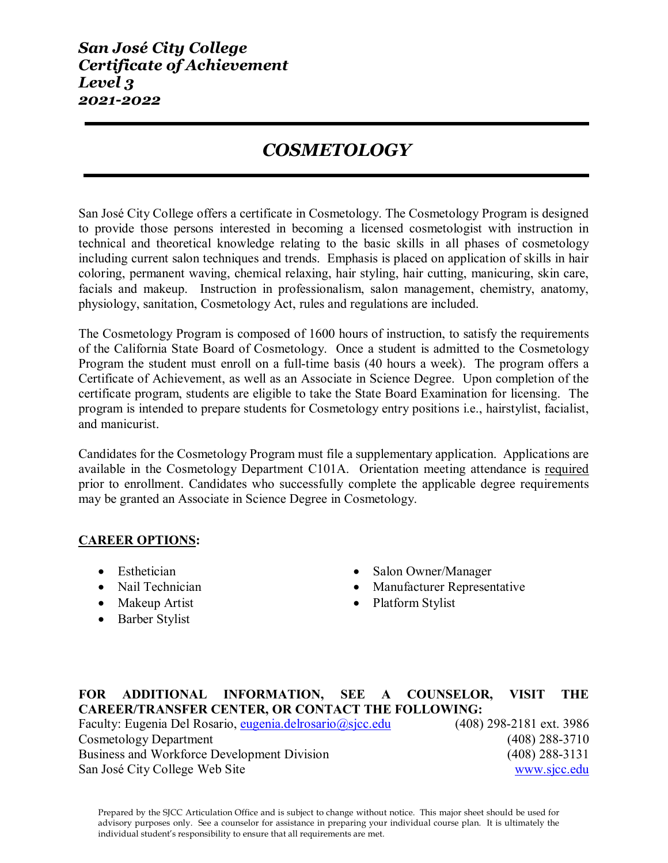# *San José City College Certificate of Achievement Level 3 2021-2022*

# *COSMETOLOGY*

San José City College offers a certificate in Cosmetology. The Cosmetology Program is designed to provide those persons interested in becoming a licensed cosmetologist with instruction in technical and theoretical knowledge relating to the basic skills in all phases of cosmetology including current salon techniques and trends. Emphasis is placed on application of skills in hair coloring, permanent waving, chemical relaxing, hair styling, hair cutting, manicuring, skin care, facials and makeup. Instruction in professionalism, salon management, chemistry, anatomy, physiology, sanitation, Cosmetology Act, rules and regulations are included.

The Cosmetology Program is composed of 1600 hours of instruction, to satisfy the requirements of the California State Board of Cosmetology. Once a student is admitted to the Cosmetology Program the student must enroll on a full-time basis (40 hours a week). The program offers a Certificate of Achievement, as well as an Associate in Science Degree. Upon completion of the certificate program, students are eligible to take the State Board Examination for licensing. The program is intended to prepare students for Cosmetology entry positions i.e., hairstylist, facialist, and manicurist.

Candidates for the Cosmetology Program must file a supplementary application. Applications are available in the Cosmetology Department C101A. Orientation meeting attendance is required prior to enrollment. Candidates who successfully complete the applicable degree requirements may be granted an Associate in Science Degree in Cosmetology.

#### **CAREER OPTIONS:**

- Esthetician
- Nail Technician
- Makeup Artist
- Barber Stylist
- Salon Owner/Manager
- Manufacturer Representative
- Platform Stylist

#### **FOR ADDITIONAL INFORMATION, SEE A COUNSELOR, VISIT THE CAREER/TRANSFER CENTER, OR CONTACT THE FOLLOWING:**

Faculty: Eugenia Del Rosario, [eugenia.delrosario@sjcc.edu](mailto:eugenia.delrosario@sjcc.edu) (408) 298-2181 ext. 3986 Cosmetology Department (408) 288-3710 Business and Workforce Development Division (408) 288-3131 San José City College Web Site [www.sjcc.edu](http://www.sjcc.edu/)